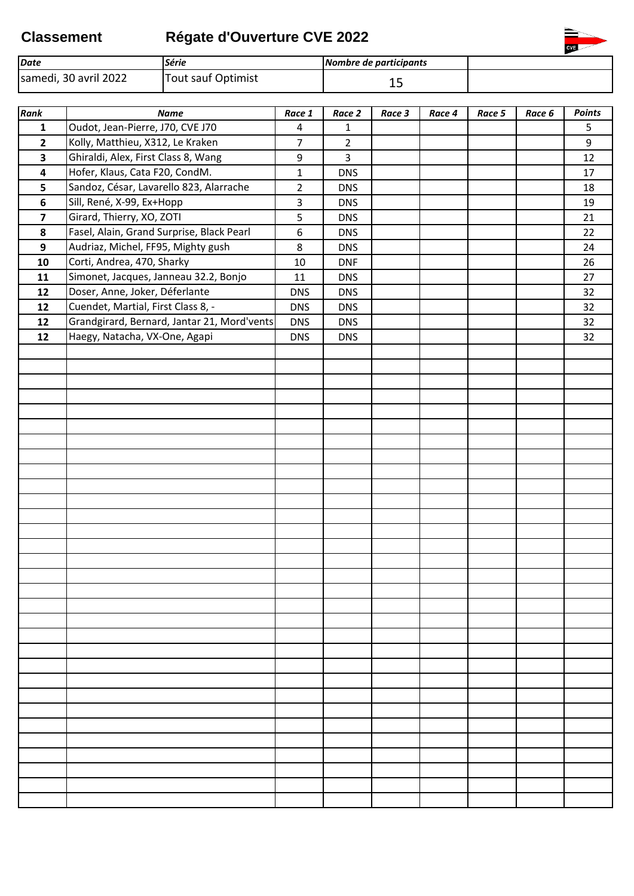## **Classement Régate d'Ouverture CVE 2022**



| Rank                    | <b>Name</b>                                 | Race 1         | Race 2         | Race 3 | Race 4 | Race 5 | Race 6 | Points |
|-------------------------|---------------------------------------------|----------------|----------------|--------|--------|--------|--------|--------|
| $\mathbf{1}$            | Oudot, Jean-Pierre, J70, CVE J70            | 4              | 1              |        |        |        |        | 5      |
| $\overline{2}$          | Kolly, Matthieu, X312, Le Kraken            | $\overline{7}$ | $\overline{2}$ |        |        |        |        | 9      |
| $\overline{\mathbf{3}}$ | Ghiraldi, Alex, First Class 8, Wang         | 9              | $\overline{3}$ |        |        |        |        | 12     |
| $\overline{\mathbf{4}}$ | Hofer, Klaus, Cata F20, CondM.              | $\mathbf{1}$   | <b>DNS</b>     |        |        |        |        | 17     |
| 5                       | Sandoz, César, Lavarello 823, Alarrache     | $\overline{2}$ | <b>DNS</b>     |        |        |        |        | 18     |
| 6                       | Sill, René, X-99, Ex+Hopp                   | 3              | <b>DNS</b>     |        |        |        |        | 19     |
| $\overline{\mathbf{z}}$ | Girard, Thierry, XO, ZOTI                   | 5              | <b>DNS</b>     |        |        |        |        | 21     |
| 8                       | Fasel, Alain, Grand Surprise, Black Pearl   | 6              | <b>DNS</b>     |        |        |        |        | 22     |
| 9                       | Audriaz, Michel, FF95, Mighty gush          | 8              | <b>DNS</b>     |        |        |        |        | 24     |
| 10                      | Corti, Andrea, 470, Sharky                  | 10             | <b>DNF</b>     |        |        |        |        | 26     |
| 11                      | Simonet, Jacques, Janneau 32.2, Bonjo       | 11             | <b>DNS</b>     |        |        |        |        | 27     |
| 12                      | Doser, Anne, Joker, Déferlante              | <b>DNS</b>     | <b>DNS</b>     |        |        |        |        | 32     |
| 12                      | Cuendet, Martial, First Class 8, -          | <b>DNS</b>     | <b>DNS</b>     |        |        |        |        | 32     |
| 12                      | Grandgirard, Bernard, Jantar 21, Mord'vents | <b>DNS</b>     | <b>DNS</b>     |        |        |        |        | 32     |
| 12                      | Haegy, Natacha, VX-One, Agapi               | <b>DNS</b>     | <b>DNS</b>     |        |        |        |        | 32     |
|                         |                                             |                |                |        |        |        |        |        |
|                         |                                             |                |                |        |        |        |        |        |
|                         |                                             |                |                |        |        |        |        |        |
|                         |                                             |                |                |        |        |        |        |        |
|                         |                                             |                |                |        |        |        |        |        |
|                         |                                             |                |                |        |        |        |        |        |
|                         |                                             |                |                |        |        |        |        |        |
|                         |                                             |                |                |        |        |        |        |        |
|                         |                                             |                |                |        |        |        |        |        |
|                         |                                             |                |                |        |        |        |        |        |
|                         |                                             |                |                |        |        |        |        |        |
|                         |                                             |                |                |        |        |        |        |        |
|                         |                                             |                |                |        |        |        |        |        |
|                         |                                             |                |                |        |        |        |        |        |
|                         |                                             |                |                |        |        |        |        |        |
|                         |                                             |                |                |        |        |        |        |        |
|                         |                                             |                |                |        |        |        |        |        |
|                         |                                             |                |                |        |        |        |        |        |
|                         |                                             |                |                |        |        |        |        |        |
|                         |                                             |                |                |        |        |        |        |        |
|                         |                                             |                |                |        |        |        |        |        |
|                         |                                             |                |                |        |        |        |        |        |
|                         |                                             |                |                |        |        |        |        |        |
|                         |                                             |                |                |        |        |        |        |        |
|                         |                                             |                |                |        |        |        |        |        |
|                         |                                             |                |                |        |        |        |        |        |
|                         |                                             |                |                |        |        |        |        |        |
|                         |                                             |                |                |        |        |        |        |        |
|                         |                                             |                |                |        |        |        |        |        |
|                         |                                             |                |                |        |        |        |        |        |
|                         |                                             |                |                |        |        |        |        |        |